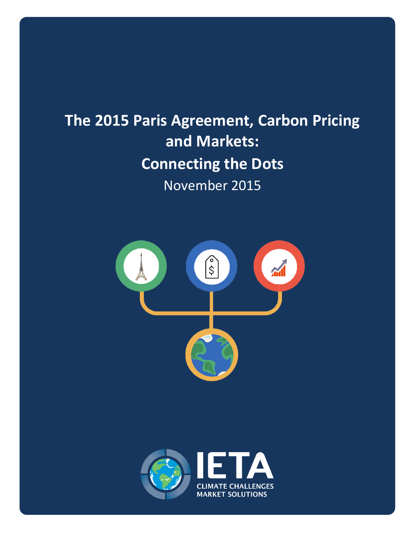## **The 2015 Paris Agreement, Carbon Pricing and Markets: Connecting the Dots** November 2015



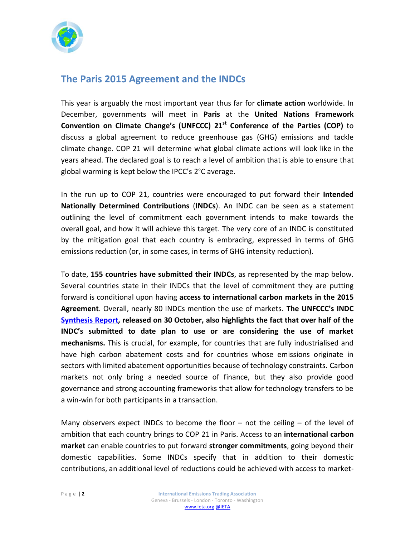

## **The Paris 2015 Agreement and the INDCs**

This year is arguably the most important year thus far for **climate action** worldwide. In December, governments will meet in **Paris** at the **United Nations Framework Convention on Climate Change's (UNFCCC) 21st Conference of the Parties (COP)** to discuss a global agreement to reduce greenhouse gas (GHG) emissions and tackle climate change. COP 21 will determine what global climate actions will look like in the years ahead. The declared goal is to reach a level of ambition that is able to ensure that global warming is kept below the IPCC's 2°C average.

In the run up to COP 21, countries were encouraged to put forward their **Intended Nationally Determined Contributions** (**INDCs**). An INDC can be seen as a statement outlining the level of commitment each government intends to make towards the overall goal, and how it will achieve this target. The very core of an INDC is constituted by the mitigation goal that each country is embracing, expressed in terms of GHG emissions reduction (or, in some cases, in terms of GHG intensity reduction).

To date, **155 countries have submitted their INDCs**, as represented by the map below. Several countries state in their INDCs that the level of commitment they are putting forward is conditional upon having **access to international carbon markets in the 2015 Agreement**. Overall, nearly 80 INDCs mention the use of markets. **The UNFCCC's INDC [Synthesis Report,](http://unfccc.int/resource/docs/2015/cop21/eng/07.pdf) released on 30 October, also highlights the fact that over half of the INDC's submitted to date plan to use or are considering the use of market mechanisms.** This is crucial, for example, for countries that are fully industrialised and have high carbon abatement costs and for countries whose emissions originate in sectors with limited abatement opportunities because of technology constraints. Carbon markets not only bring a needed source of finance, but they also provide good governance and strong accounting frameworks that allow for technology transfers to be a win-win for both participants in a transaction.

Many observers expect INDCs to become the floor  $-$  not the ceiling  $-$  of the level of ambition that each country brings to COP 21 in Paris. Access to an **international carbon market** can enable countries to put forward **stronger commitments**, going beyond their domestic capabilities. Some INDCs specify that in addition to their domestic contributions, an additional level of reductions could be achieved with access to market-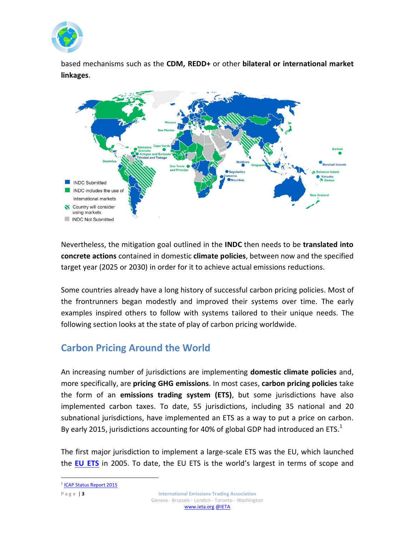

based mechanisms such as the **CDM, REDD+** or other **bilateral or international market linkages**.



Nevertheless, the mitigation goal outlined in the **INDC** then needs to be **translated into concrete actions** contained in domestic **climate policies**, between now and the specified target year (2025 or 2030) in order for it to achieve actual emissions reductions.

Some countries already have a long history of successful carbon pricing policies. Most of the frontrunners began modestly and improved their systems over time. The early examples inspired others to follow with systems tailored to their unique needs. The following section looks at the state of play of carbon pricing worldwide.

## **Carbon Pricing Around the World**

An increasing number of jurisdictions are implementing **domestic climate policies** and, more specifically, are **pricing GHG emissions**. In most cases, **carbon pricing policies** take the form of an **emissions trading system (ETS)**, but some jurisdictions have also implemented carbon taxes. To date, 55 jurisdictions, including 35 national and 20 subnational jurisdictions, have implemented an ETS as a way to put a price on carbon. By early 2015, jurisdictions accounting for 40% of global GDP had introduced an ETS.<sup>1</sup>

The first major jurisdiction to implement a large-scale ETS was the EU, which launched the **[EU ETS](https://ieta.wildapricot.org/resources/Resources/Case_Studies_Worlds_Carbon_Markets/euets_case_study_may2015.pdf)** in 2005. To date, the EU ETS is the world's largest in terms of scope and

 $\overline{a}$ 

<sup>&</sup>lt;sup>1</sup> [ICAP Status Report 2015](https://icapcarbonaction.com/status-report-2015)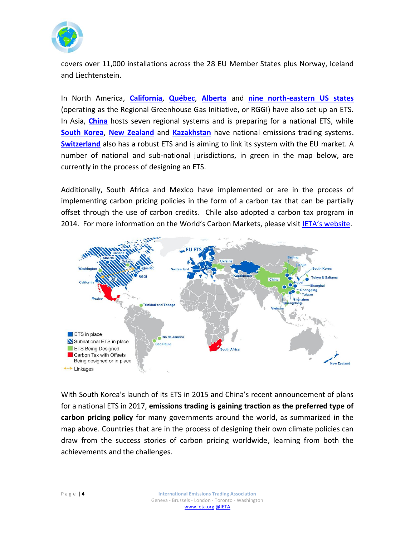

covers over 11,000 installations across the 28 EU Member States plus Norway, Iceland and Liechtenstein.

In North America, **[California](https://ieta.wildapricot.org/resources/Resources/Case_Studies_Worlds_Carbon_Markets/california_case_study-may2015.pdf)**, **[Québec](https://ieta.wildapricot.org/resources/Resources/Case_Studies_Worlds_Carbon_Markets/quebec_case_study-may2015.pdf)**, **[Alberta](https://ieta.wildapricot.org/resources/Resources/Case_Studies_Worlds_Carbon_Markets/alberta_case_study-may2015.pdf)** and **nine [north-eastern US states](https://ieta.wildapricot.org/resources/Resources/Case_Studies_Worlds_Carbon_Markets/rggi_ets_case_study-may2015.pdf)** (operating as the Regional Greenhouse Gas Initiative, or RGGI) have also set up an ETS. In Asia, **[China](https://ieta.wildapricot.org/resources/Resources/Case_Studies_Worlds_Carbon_Markets/china-emissions-trading-case%20study_cdc_climat_ieta%20march_2015.pdf)** hosts seven regional systems and is preparing for a national ETS, while **[South Korea](https://ieta.wildapricot.org/resources/Resources/Case_Studies_Worlds_Carbon_Markets/republicofkorea_case%20study_june_2015.pdf)**, **[New Zealand](https://ieta.memberclicks.net/assets/CaseStudy2015/new_zealand_case_study_may2015.pdf)** and **[Kazakhstan](https://ieta.wildapricot.org/resources/Resources/CaseStudy2015/kazakhstan_case_study_may2015.pdf)** have national emissions trading systems. **[Switzerland](https://ieta.wildapricot.org/resources/Resources/CaseStudy2015/switzerland_case_study_may2015.pdf)** also has a robust ETS and is aiming to link its system with the EU market. A number of national and sub-national jurisdictions, in green in the map below, are currently in the process of designing an ETS.

Additionally, South Africa and Mexico have implemented or are in the process of implementing carbon pricing policies in the form of a carbon tax that can be partially offset through the use of carbon credits. Chile also adopted a carbon tax program in 2014. For more information on the World's Carbon Markets, please visit [IETA's website](http://www.ieta.org/worldscarbonmarkets).



With South Korea's launch of its ETS in 2015 and China's recent announcement of plans for a national ETS in 2017, **emissions trading is gaining traction as the preferred type of carbon pricing policy** for many governments around the world, as summarized in the map above. Countries that are in the process of designing their own climate policies can draw from the success stories of carbon pricing worldwide, learning from both the achievements and the challenges.